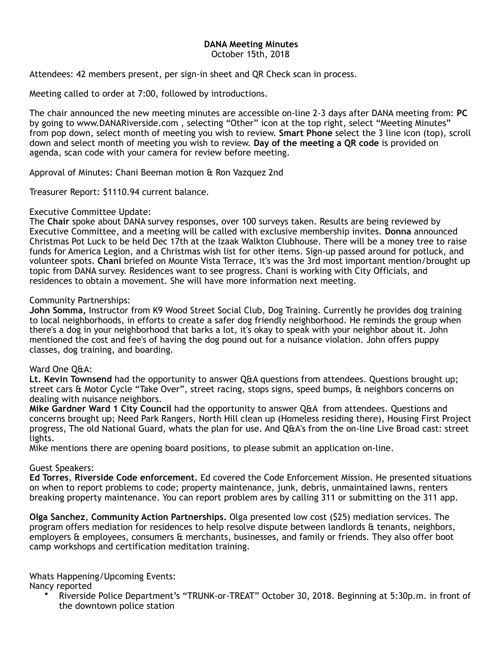# **DANA Meeting Minutes**

October 15th, 2018

Attendees: 42 members present, per sign-in sheet and QR Check scan in process.

Meeting called to order at 7:00, followed by introductions.

The chair announced the new meeting minutes are accessible on-line 2-3 days after DANA meeting from: **PC** by going to www.DANARiverside.com , selecting "Other" icon at the top right, select "Meeting Minutes" from pop down, select month of meeting you wish to review. **Smart Phone** select the 3 line icon (top), scroll down and select month of meeting you wish to review. **Day of the meeting a QR code** is provided on agenda, scan code with your camera for review before meeting.

Approval of Minutes: Chani Beeman motion & Ron Vazquez 2nd

Treasurer Report: \$1110.94 current balance.

## Executive Committee Update:

The **Chair** spoke about DANA survey responses, over 100 surveys taken. Results are being reviewed by Executive Committee, and a meeting will be called with exclusive membership invites. **Donna** announced Christmas Pot Luck to be held Dec 17th at the Izaak Walkton Clubhouse. There will be a money tree to raise funds for America Legion, and a Christmas wish list for other items. Sign-up passed around for potluck, and volunteer spots. **Chani** briefed on Mounte Vista Terrace, it's was the 3rd most important mention/brought up topic from DANA survey. Residences want to see progress. Chani is working with City Officials, and residences to obtain a movement. She will have more information next meeting.

## Community Partnerships:

**John Somma,** Instructor from K9 Wood Street Social Club, Dog Training. Currently he provides dog training to local neighborhoods, in efforts to create a safer dog friendly neighborhood. He reminds the group when there's a dog in your neighborhood that barks a lot, it's okay to speak with your neighbor about it. John mentioned the cost and fee's of having the dog pound out for a nuisance violation. John offers puppy classes, dog training, and boarding.

## Ward One Q&A:

**Lt. Kevin Townsend** had the opportunity to answer Q&A questions from attendees. Questions brought up; street cars & Motor Cycle "Take Over", street racing, stops signs, speed bumps, & neighbors concerns on dealing with nuisance neighbors.

**Mike Gardner Ward 1 City Council** had the opportunity to answer Q&A from attendees. Questions and concerns brought up; Need Park Rangers, North Hill clean up (Homeless residing there), Housing First Project progress, The old National Guard, whats the plan for use. And Q&A's from the on-line Live Broad cast: street lights.

Mike mentions there are opening board positions, to please submit an application on-line.

## Guest Speakers:

**Ed Torres**, **Riverside Code enforcement.** Ed covered the Code Enforcement Mission. He presented situations on when to report problems to code; property maintenance, junk, debris, unmaintained lawns, renters breaking property maintenance. You can report problem ares by calling 311 or submitting on the 311 app.

**Olga Sanchez**, **Community Action Partnerships.** Olga presented low cost (\$25) mediation services. The program offers mediation for residences to help resolve dispute between landlords & tenants, neighbors, employers & employees, consumers & merchants, businesses, and family or friends. They also offer boot camp workshops and certification meditation training.

Whats Happening/Upcoming Events:

Nancy reported

• Riverside Police Department's "TRUNK-or-TREAT" October 30, 2018. Beginning at 5:30p.m. in front of the downtown police station